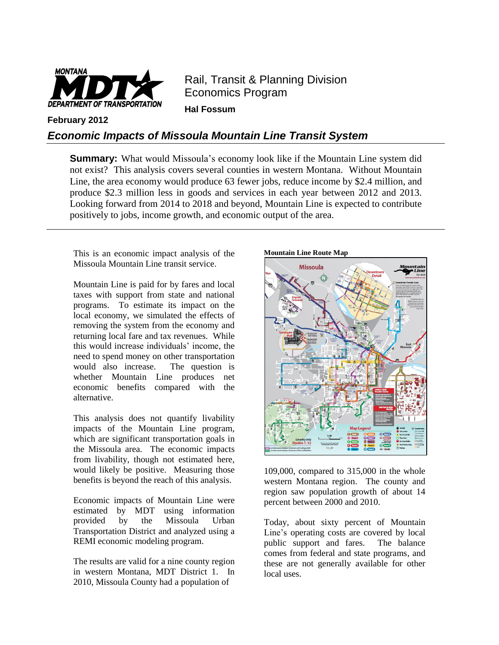

Rail, Transit & Planning Division Economics Program **Hal Fossum** 

**February 2012**

## *Economic Impacts of Missoula Mountain Line Transit System*

**Summary:** What would Missoula's economy look like if the Mountain Line system did not exist? This analysis covers several counties in western Montana. Without Mountain Line, the area economy would produce 63 fewer jobs, reduce income by \$2.4 million, and produce \$2.3 million less in goods and services in each year between 2012 and 2013. Looking forward from 2014 to 2018 and beyond, Mountain Line is expected to contribute positively to jobs, income growth, and economic output of the area.

This is an economic impact analysis of the Missoula Mountain Line transit service.

Mountain Line is paid for by fares and local taxes with support from state and national programs. To estimate its impact on the local economy, we simulated the effects of removing the system from the economy and returning local fare and tax revenues. While this would increase individuals' income, the need to spend money on other transportation would also increase. The question is whether Mountain Line produces net economic benefits compared with the alternative.

This analysis does not quantify livability impacts of the Mountain Line program, which are significant transportation goals in the Missoula area. The economic impacts from livability, though not estimated here, would likely be positive. Measuring those benefits is beyond the reach of this analysis.

Economic impacts of Mountain Line were estimated by MDT using information provided by the Missoula Urban Transportation District and analyzed using a REMI economic modeling program.

The results are valid for a nine county region in western Montana, MDT District 1. In 2010, Missoula County had a population of





109,000, compared to 315,000 in the whole western Montana region. The county and region saw population growth of about 14 percent between 2000 and 2010.

Today, about sixty percent of Mountain Line's operating costs are covered by local public support and fares. The balance comes from federal and state programs, and these are not generally available for other local uses.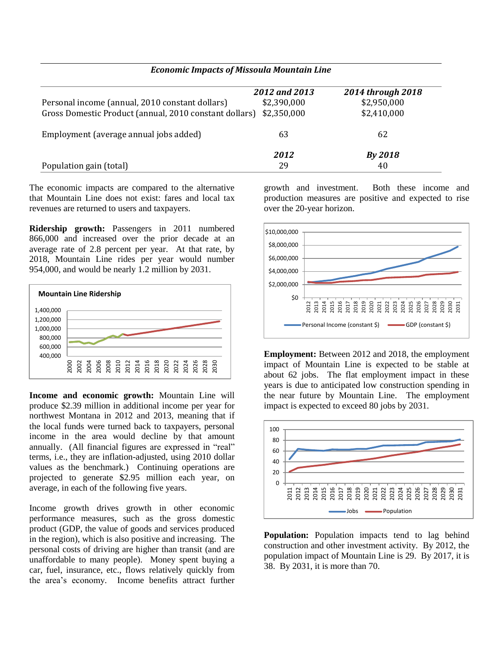|                                                        | 2012 and 2013 | 2014 through 2018 |
|--------------------------------------------------------|---------------|-------------------|
| Personal income (annual, 2010 constant dollars)        | \$2,390,000   | \$2,950,000       |
| Gross Domestic Product (annual, 2010 constant dollars) | \$2,350,000   | \$2,410,000       |
| Employment (average annual jobs added)                 | 63            | 62                |
|                                                        | 2012          | By 2018           |
| Population gain (total)                                | 29            | 40                |

*Economic Impacts of Missoula Mountain Line*

The economic impacts are compared to the alternative that Mountain Line does not exist: fares and local tax revenues are returned to users and taxpayers.

**Ridership growth:** Passengers in 2011 numbered 866,000 and increased over the prior decade at an average rate of 2.8 percent per year. At that rate, by 2018, Mountain Line rides per year would number 954,000, and would be nearly 1.2 million by 2031.



**Income and economic growth:** Mountain Line will produce \$2.39 million in additional income per year for northwest Montana in 2012 and 2013, meaning that if the local funds were turned back to taxpayers, personal income in the area would decline by that amount annually. (All financial figures are expressed in "real" terms, i.e., they are inflation-adjusted, using 2010 dollar values as the benchmark.) Continuing operations are projected to generate \$2.95 million each year, on average, in each of the following five years.

Income growth drives growth in other economic performance measures, such as the gross domestic product (GDP, the value of goods and services produced in the region), which is also positive and increasing. The personal costs of driving are higher than transit (and are unaffordable to many people). Money spent buying a car, fuel, insurance, etc., flows relatively quickly from the area's economy. Income benefits attract further

growth and investment. Both these income and production measures are positive and expected to rise over the 20-year horizon.



**Employment:** Between 2012 and 2018, the employment impact of Mountain Line is expected to be stable at about 62 jobs. The flat employment impact in these years is due to anticipated low construction spending in the near future by Mountain Line. The employment impact is expected to exceed 80 jobs by 2031.



**Population:** Population impacts tend to lag behind construction and other investment activity. By 2012, the population impact of Mountain Line is 29. By 2017, it is 38. By 2031, it is more than 70.